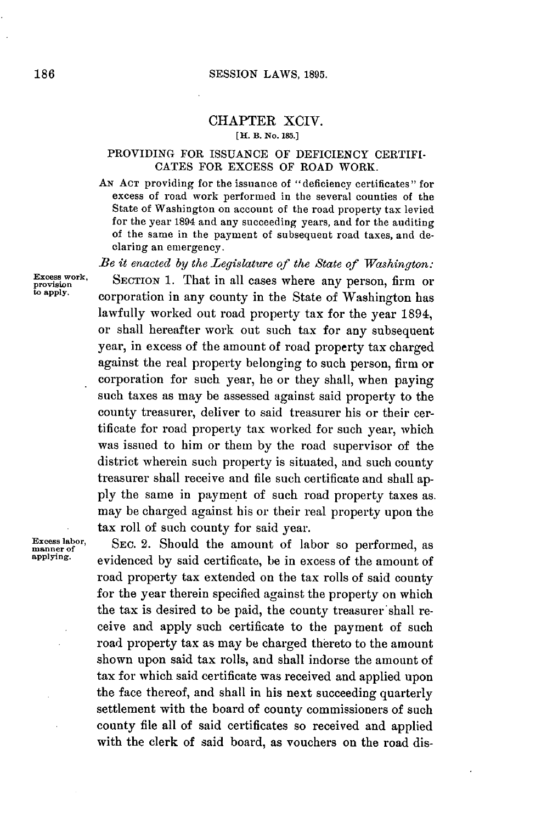## CHAPTER XCIV.

## **[H. B. No. 15.]**

## PROVIDING FOR **ISSUANCE** OF DEFICIENCY CERTIFI-**CATES** FOR **EXCESS** OF ROAD WORK.

AN ACT providing for the issuance of "deficiency certificates" for excess of road work performed in the several counties of the State of Washington on account of the road property tax levied for the year 1894 and any succeeding years, and for the auditing of the same in the payment of subsequent road taxes, and declaring an emergency.

*Be it enacted by the Legislature of the State of Washington:*

Excess work, SECTION 1. That in all cases where any person, firm or<br>provision componential part county in the State of Weshington has corporation in any county in the State of Washington has lawfully worked out road property tax for the year 1894, or shall hereafter work out such tax for any subsequent year, in excess of the amount of road property tax charged against the real property belonging to such person, firm or corporation for such year, he or they shall, when paying such taxes as may be assessed against said property to the county treasurer, deliver to said treasurer his or their certificate for road property tax worked for such year, which was issued to him or them **by** the road supervisor of the district wherein such property is situated, and such county treasurer shall receive and file such certificate and shall ap**ply** the same in payment of such road property taxes as. may be charged against his or their real property upon the tax roll of such county for said year.

**Excess labor,<br>manner of** 

**Excess labor**, SEC. 2. Should the amount of labor so performed, as applying. evidenced by said certificate, be in excess of the amount of road property tax extended on the tax rolls of said county for the year therein specified against the property on which the tax is desired to be paid, the county treasurer shall receive and apply such certificate to the payment of such road property tax as may be charged thereto to the amount shown upon said tax rolls, and shall indorse the amount of tax for which said certificate was received and applied upon the face thereof, and shall in his next succeeding quarterly settlement with the board of county commissioners of such county file all of said certificates so received and applied with the clerk of said board, as vouchers on the road dis